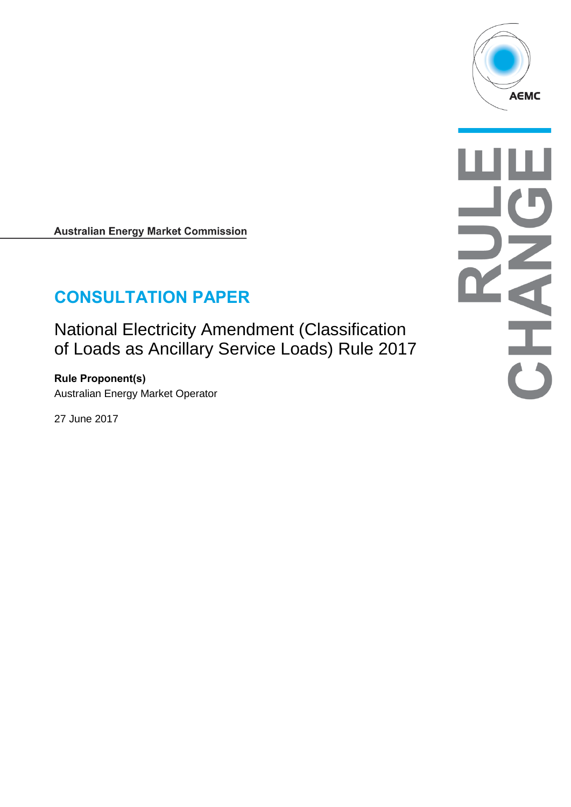

**Australian Energy Market Commission** 

# **CONSULTATION PAPER**

National Electricity Amendment (Classification of Loads as Ancillary Service Loads) Rule 2017

**Rule Proponent(s)** Australian Energy Market Operator

27 June 2017

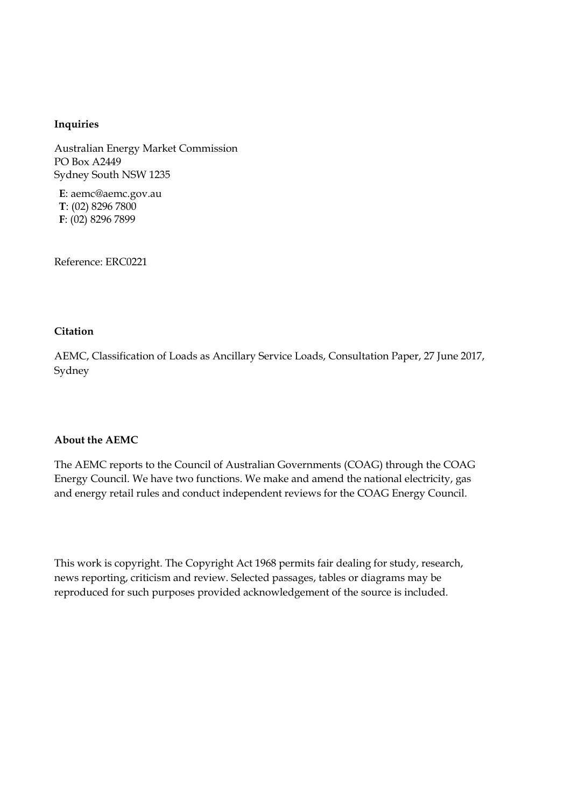#### **Inquiries**

Australian Energy Market Commission PO Box A2449 Sydney South NSW 1235

**E**: aemc@aemc.gov.au **T**: (02) 8296 7800 **F**: (02) 8296 7899

Reference: ERC0221

#### **Citation**

AEMC, Classification of Loads as Ancillary Service Loads, Consultation Paper, 27 June 2017, Sydney

#### **About the AEMC**

The AEMC reports to the Council of Australian Governments (COAG) through the COAG Energy Council. We have two functions. We make and amend the national electricity, gas and energy retail rules and conduct independent reviews for the COAG Energy Council.

This work is copyright. The Copyright Act 1968 permits fair dealing for study, research, news reporting, criticism and review. Selected passages, tables or diagrams may be reproduced for such purposes provided acknowledgement of the source is included.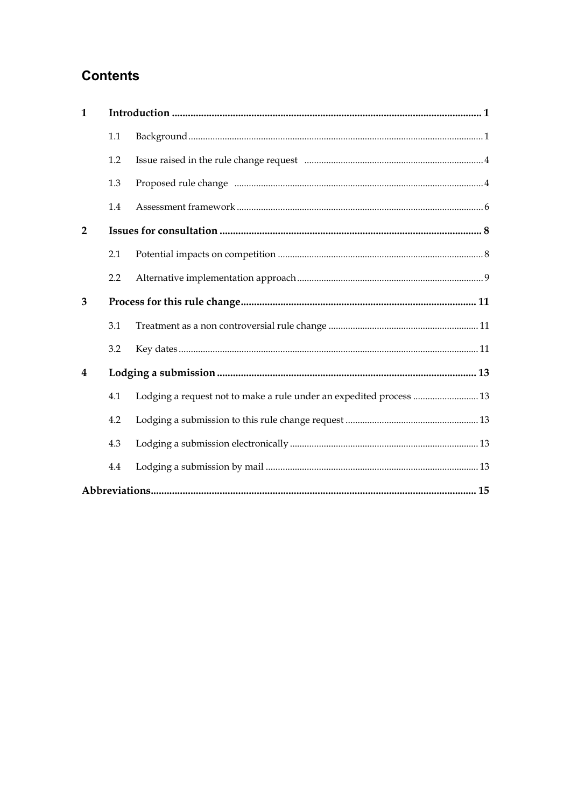# **Contents**

| $\mathbf{1}$   |     |                                                                     |  |  |
|----------------|-----|---------------------------------------------------------------------|--|--|
|                | 1.1 |                                                                     |  |  |
|                | 1.2 |                                                                     |  |  |
|                | 1.3 |                                                                     |  |  |
|                | 1.4 |                                                                     |  |  |
| $\overline{2}$ |     |                                                                     |  |  |
|                | 2.1 |                                                                     |  |  |
|                | 2.2 |                                                                     |  |  |
| 3              |     |                                                                     |  |  |
|                | 3.1 |                                                                     |  |  |
|                | 3.2 |                                                                     |  |  |
| $\overline{4}$ |     |                                                                     |  |  |
|                | 4.1 | Lodging a request not to make a rule under an expedited process  13 |  |  |
|                | 4.2 |                                                                     |  |  |
|                | 4.3 |                                                                     |  |  |
|                | 4.4 |                                                                     |  |  |
|                |     |                                                                     |  |  |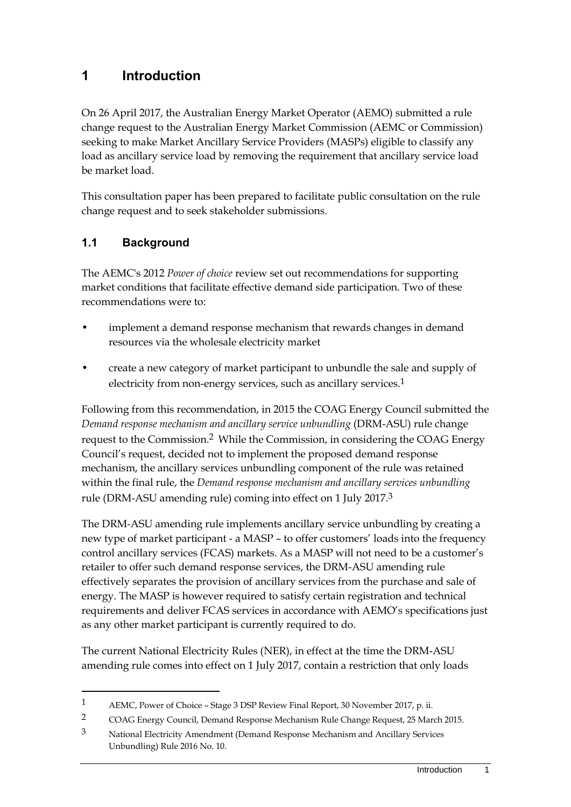### <span id="page-4-0"></span>**1 Introduction**

On 26 April 2017, the Australian Energy Market Operator (AEMO) submitted a rule change request to the Australian Energy Market Commission (AEMC or Commission) seeking to make Market Ancillary Service Providers (MASPs) eligible to classify any load as ancillary service load by removing the requirement that ancillary service load be market load.

This consultation paper has been prepared to facilitate public consultation on the rule change request and to seek stakeholder submissions.

### <span id="page-4-1"></span>**1.1 Background**

<u>.</u>

The AEMC's 2012 *Power of choice* review set out recommendations for supporting market conditions that facilitate effective demand side participation. Two of these recommendations were to:

- implement a demand response mechanism that rewards changes in demand resources via the wholesale electricity market
- create a new category of market participant to unbundle the sale and supply of electricity from non-energy services, such as ancillary services.<sup>1</sup>

Following from this recommendation, in 2015 the COAG Energy Council submitted the *Demand response mechanism and ancillary service unbundling* (DRM-ASU) rule change request to the Commission.2 While the Commission, in considering the COAG Energy Council's request, decided not to implement the proposed demand response mechanism, the ancillary services unbundling component of the rule was retained within the final rule, the *Demand response mechanism and ancillary services unbundling* rule (DRM-ASU amending rule) coming into effect on 1 July 2017.3

The DRM-ASU amending rule implements ancillary service unbundling by creating a new type of market participant - a MASP – to offer customers' loads into the frequency control ancillary services (FCAS) markets. As a MASP will not need to be a customer's retailer to offer such demand response services, the DRM-ASU amending rule effectively separates the provision of ancillary services from the purchase and sale of energy. The MASP is however required to satisfy certain registration and technical requirements and deliver FCAS services in accordance with AEMO's specifications just as any other market participant is currently required to do.

The current National Electricity Rules (NER), in effect at the time the DRM-ASU amending rule comes into effect on 1 July 2017, contain a restriction that only loads

<sup>1</sup> AEMC, Power of Choice – Stage 3 DSP Review Final Report, 30 November 2017, p. ii.

<sup>2</sup> COAG Energy Council, Demand Response Mechanism Rule Change Request, 25 March 2015.

<sup>3</sup> National Electricity Amendment (Demand Response Mechanism and Ancillary Services Unbundling) Rule 2016 No. 10.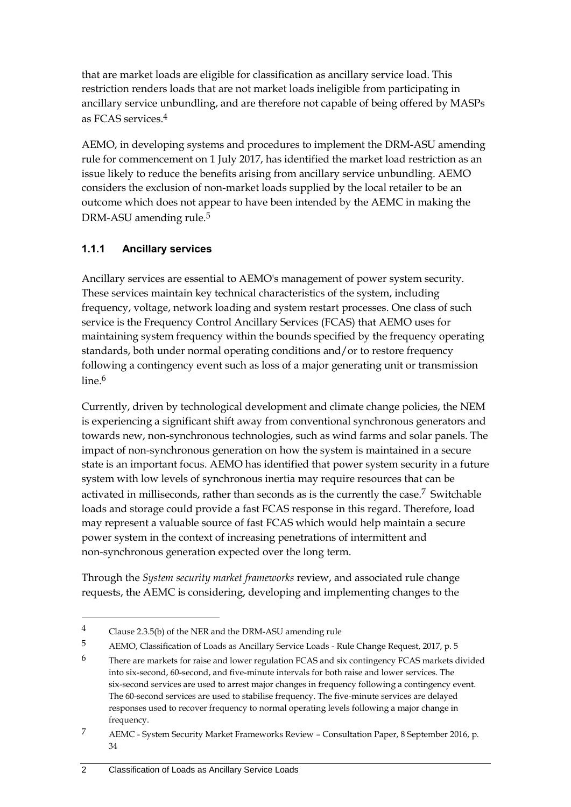that are market loads are eligible for classification as ancillary service load. This restriction renders loads that are not market loads ineligible from participating in ancillary service unbundling, and are therefore not capable of being offered by MASPs as FCAS services.4

AEMO, in developing systems and procedures to implement the DRM-ASU amending rule for commencement on 1 July 2017, has identified the market load restriction as an issue likely to reduce the benefits arising from ancillary service unbundling. AEMO considers the exclusion of non-market loads supplied by the local retailer to be an outcome which does not appear to have been intended by the AEMC in making the DRM-ASU amending rule.<sup>5</sup>

### **1.1.1 Ancillary services**

Ancillary services are essential to AEMO's management of power system security. These services maintain key technical characteristics of the system, including frequency, voltage, network loading and system restart processes. One class of such service is the Frequency Control Ancillary Services (FCAS) that AEMO uses for maintaining system frequency within the bounds specified by the frequency operating standards, both under normal operating conditions and/or to restore frequency following a contingency event such as loss of a major generating unit or transmission line.<sup>6</sup>

Currently, driven by technological development and climate change policies, the NEM is experiencing a significant shift away from conventional synchronous generators and towards new, non-synchronous technologies, such as wind farms and solar panels. The impact of non-synchronous generation on how the system is maintained in a secure state is an important focus. AEMO has identified that power system security in a future system with low levels of synchronous inertia may require resources that can be activated in milliseconds, rather than seconds as is the currently the case.<sup>7</sup> Switchable loads and storage could provide a fast FCAS response in this regard. Therefore, load may represent a valuable source of fast FCAS which would help maintain a secure power system in the context of increasing penetrations of intermittent and non-synchronous generation expected over the long term.

Through the *System security market frameworks* review, and associated rule change requests, the AEMC is considering, developing and implementing changes to the

<sup>4</sup> Clause 2.3.5(b) of the NER and the DRM-ASU amending rule

<sup>5</sup> AEMO, Classification of Loads as Ancillary Service Loads - Rule Change Request, 2017, p. 5

<sup>&</sup>lt;sup>6</sup> There are markets for raise and lower regulation FCAS and six contingency FCAS markets divided into six-second, 60-second, and five-minute intervals for both raise and lower services. The six-second services are used to arrest major changes in frequency following a contingency event. The 60-second services are used to stabilise frequency. The five-minute services are delayed responses used to recover frequency to normal operating levels following a major change in frequency.

<sup>7</sup> AEMC - System Security Market Frameworks Review – Consultation Paper, 8 September 2016, p. 34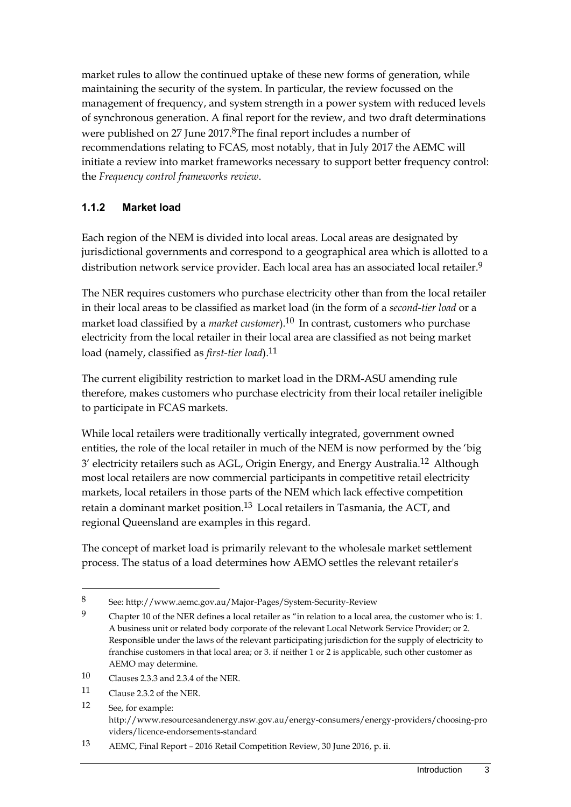market rules to allow the continued uptake of these new forms of generation, while maintaining the security of the system. In particular, the review focussed on the management of frequency, and system strength in a power system with reduced levels of synchronous generation. A final report for the review, and two draft determinations were published on 27 June 2017.<sup>8</sup>The final report includes a number of recommendations relating to FCAS, most notably, that in July 2017 the AEMC will initiate a review into market frameworks necessary to support better frequency control: the *Frequency control frameworks review*.

### **1.1.2 Market load**

Each region of the NEM is divided into local areas. Local areas are designated by jurisdictional governments and correspond to a geographical area which is allotted to a distribution network service provider. Each local area has an associated local retailer.9

The NER requires customers who purchase electricity other than from the local retailer in their local areas to be classified as market load (in the form of a *second-tier load* or a market load classified by a *market customer*).10 In contrast, customers who purchase electricity from the local retailer in their local area are classified as not being market load (namely, classified as *first-tier load*).11

The current eligibility restriction to market load in the DRM-ASU amending rule therefore, makes customers who purchase electricity from their local retailer ineligible to participate in FCAS markets.

While local retailers were traditionally vertically integrated, government owned entities, the role of the local retailer in much of the NEM is now performed by the 'big 3' electricity retailers such as AGL, Origin Energy, and Energy Australia.12 Although most local retailers are now commercial participants in competitive retail electricity markets, local retailers in those parts of the NEM which lack effective competition retain a dominant market position.13 Local retailers in Tasmania, the ACT, and regional Queensland are examples in this regard.

The concept of market load is primarily relevant to the wholesale market settlement process. The status of a load determines how AEMO settles the relevant retailer's

- 10 Clauses 2.3.3 and 2.3.4 of the NER.
- 11 Clause 2.3.2 of the NER.

-

- 12 See, for example: http://www.resourcesandenergy.nsw.gov.au/energy-consumers/energy-providers/choosing-pro viders/licence-endorsements-standard
- 13 AEMC, Final Report 2016 Retail Competition Review, 30 June 2016, p. ii.

<sup>8</sup> See: http://www.aemc.gov.au/Major-Pages/System-Security-Review

<sup>9</sup> Chapter 10 of the NER defines a local retailer as "in relation to a local area, the customer who is: 1. A business unit or related body corporate of the relevant Local Network Service Provider; or 2. Responsible under the laws of the relevant participating jurisdiction for the supply of electricity to franchise customers in that local area; or 3. if neither 1 or 2 is applicable, such other customer as AEMO may determine.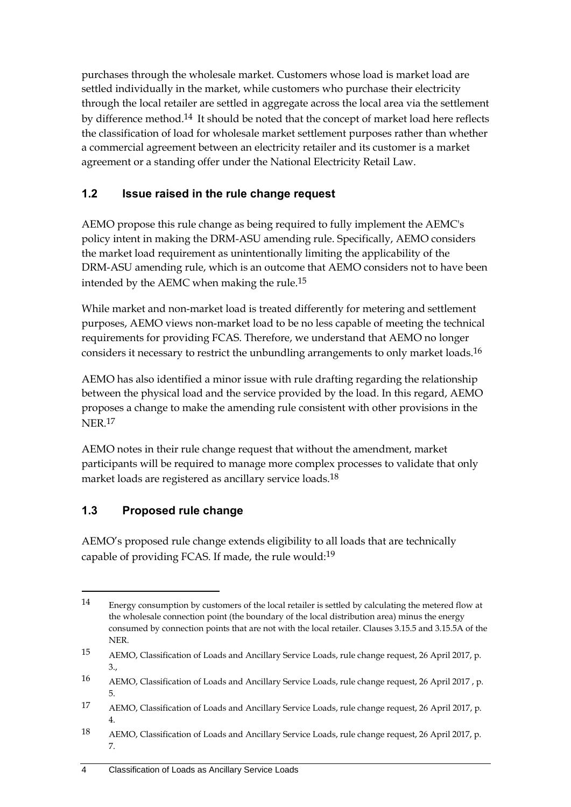purchases through the wholesale market. Customers whose load is market load are settled individually in the market, while customers who purchase their electricity through the local retailer are settled in aggregate across the local area via the settlement by difference method.<sup>14</sup> It should be noted that the concept of market load here reflects the classification of load for wholesale market settlement purposes rather than whether a commercial agreement between an electricity retailer and its customer is a market agreement or a standing offer under the National Electricity Retail Law.

### <span id="page-7-0"></span>**1.2 Issue raised in the rule change request**

AEMO propose this rule change as being required to fully implement the AEMC's policy intent in making the DRM-ASU amending rule. Specifically, AEMO considers the market load requirement as unintentionally limiting the applicability of the DRM-ASU amending rule, which is an outcome that AEMO considers not to have been intended by the AEMC when making the rule.15

While market and non-market load is treated differently for metering and settlement purposes, AEMO views non-market load to be no less capable of meeting the technical requirements for providing FCAS. Therefore, we understand that AEMO no longer considers it necessary to restrict the unbundling arrangements to only market loads.16

AEMO has also identified a minor issue with rule drafting regarding the relationship between the physical load and the service provided by the load. In this regard, AEMO proposes a change to make the amending rule consistent with other provisions in the NER.17

AEMO notes in their rule change request that without the amendment, market participants will be required to manage more complex processes to validate that only market loads are registered as ancillary service loads.18

### <span id="page-7-1"></span>**1.3 Proposed rule change**

-

AEMO's proposed rule change extends eligibility to all loads that are technically capable of providing FCAS. If made, the rule would:19

<sup>14</sup> Energy consumption by customers of the local retailer is settled by calculating the metered flow at the wholesale connection point (the boundary of the local distribution area) minus the energy consumed by connection points that are not with the local retailer. Clauses 3.15.5 and 3.15.5A of the **NER** 

<sup>15</sup> AEMO, Classification of Loads and Ancillary Service Loads, rule change request, 26 April 2017, p. 3.,

<sup>16</sup> AEMO, Classification of Loads and Ancillary Service Loads, rule change request, 26 April 2017 , p. 5.

<sup>17</sup> AEMO, Classification of Loads and Ancillary Service Loads, rule change request, 26 April 2017, p. 4.

<sup>18</sup> AEMO, Classification of Loads and Ancillary Service Loads, rule change request, 26 April 2017, p. 7.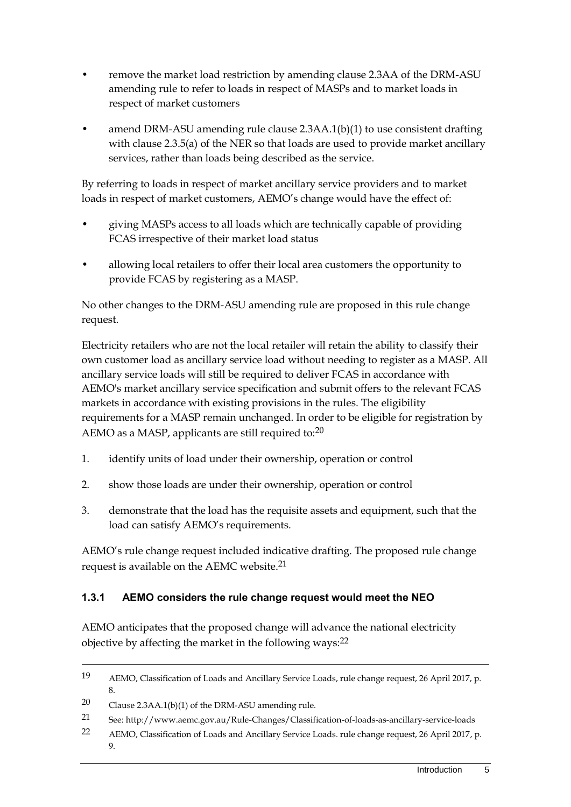- remove the market load restriction by amending clause 2.3AA of the DRM-ASU amending rule to refer to loads in respect of MASPs and to market loads in respect of market customers
- amend DRM-ASU amending rule clause 2.3AA.1(b)(1) to use consistent drafting with clause 2.3.5(a) of the NER so that loads are used to provide market ancillary services, rather than loads being described as the service.

By referring to loads in respect of market ancillary service providers and to market loads in respect of market customers, AEMO's change would have the effect of:

- giving MASPs access to all loads which are technically capable of providing FCAS irrespective of their market load status
- allowing local retailers to offer their local area customers the opportunity to provide FCAS by registering as a MASP.

No other changes to the DRM-ASU amending rule are proposed in this rule change request.

Electricity retailers who are not the local retailer will retain the ability to classify their own customer load as ancillary service load without needing to register as a MASP. All ancillary service loads will still be required to deliver FCAS in accordance with AEMO's market ancillary service specification and submit offers to the relevant FCAS markets in accordance with existing provisions in the rules. The eligibility requirements for a MASP remain unchanged. In order to be eligible for registration by AEMO as a MASP, applicants are still required to:<sup>20</sup>

- 1. identify units of load under their ownership, operation or control
- 2. show those loads are under their ownership, operation or control
- 3. demonstrate that the load has the requisite assets and equipment, such that the load can satisfy AEMO's requirements.

AEMO's rule change request included indicative drafting. The proposed rule change request is available on the AEMC website.21

### **1.3.1 AEMO considers the rule change request would meet the NEO**

AEMO anticipates that the proposed change will advance the national electricity objective by affecting the market in the following ways:<sup>22</sup>

<sup>19</sup> AEMO, Classification of Loads and Ancillary Service Loads, rule change request, 26 April 2017, p. 8.

<sup>20</sup> Clause 2.3AA.1(b)(1) of the DRM-ASU amending rule.

<sup>21</sup> See: http://www.aemc.gov.au/Rule-Changes/Classification-of-loads-as-ancillary-service-loads

<sup>22</sup> AEMO, Classification of Loads and Ancillary Service Loads. rule change request, 26 April 2017, p. 9.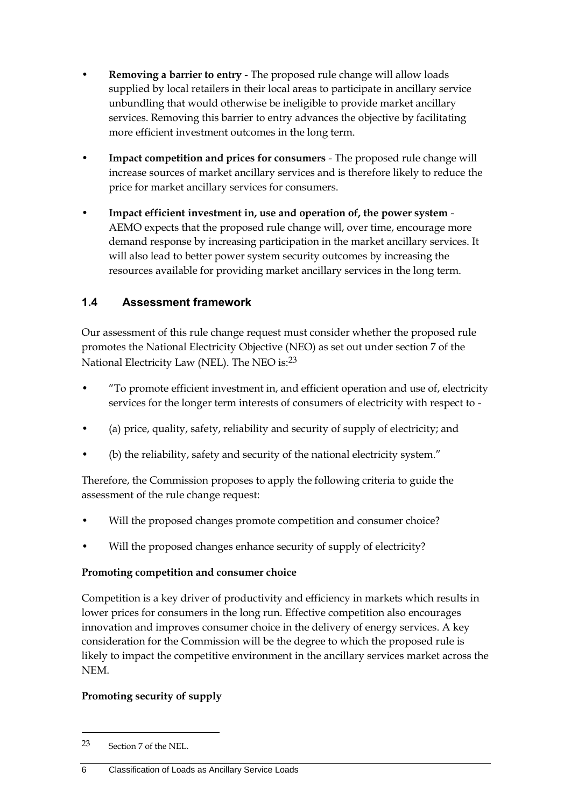- **Removing a barrier to entry**  The proposed rule change will allow loads supplied by local retailers in their local areas to participate in ancillary service unbundling that would otherwise be ineligible to provide market ancillary services. Removing this barrier to entry advances the objective by facilitating more efficient investment outcomes in the long term.
- **Impact competition and prices for consumers** The proposed rule change will increase sources of market ancillary services and is therefore likely to reduce the price for market ancillary services for consumers.
- **Impact efficient investment in, use and operation of, the power system** AEMO expects that the proposed rule change will, over time, encourage more demand response by increasing participation in the market ancillary services. It will also lead to better power system security outcomes by increasing the resources available for providing market ancillary services in the long term.

### <span id="page-9-0"></span>**1.4 Assessment framework**

Our assessment of this rule change request must consider whether the proposed rule promotes the National Electricity Objective (NEO) as set out under section 7 of the National Electricity Law (NEL). The NEO is:23

- "To promote efficient investment in, and efficient operation and use of, electricity services for the longer term interests of consumers of electricity with respect to -
- (a) price, quality, safety, reliability and security of supply of electricity; and
- (b) the reliability, safety and security of the national electricity system."

Therefore, the Commission proposes to apply the following criteria to guide the assessment of the rule change request:

- Will the proposed changes promote competition and consumer choice?
- Will the proposed changes enhance security of supply of electricity?

#### **Promoting competition and consumer choice**

Competition is a key driver of productivity and efficiency in markets which results in lower prices for consumers in the long run. Effective competition also encourages innovation and improves consumer choice in the delivery of energy services. A key consideration for the Commission will be the degree to which the proposed rule is likely to impact the competitive environment in the ancillary services market across the NEM.

#### **Promoting security of supply**

1

<sup>23</sup> Section 7 of the NEL.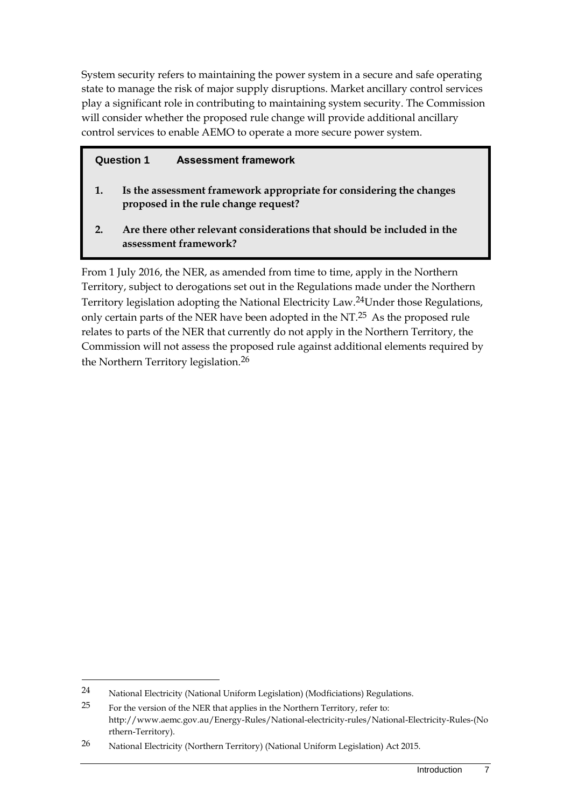System security refers to maintaining the power system in a secure and safe operating state to manage the risk of major supply disruptions. Market ancillary control services play a significant role in contributing to maintaining system security. The Commission will consider whether the proposed rule change will provide additional ancillary control services to enable AEMO to operate a more secure power system.

#### **Question 1 Assessment framework**

- **1. Is the assessment framework appropriate for considering the changes proposed in the rule change request?**
- **2. Are there other relevant considerations that should be included in the assessment framework?**

From 1 July 2016, the NER, as amended from time to time, apply in the Northern Territory, subject to derogations set out in the Regulations made under the Northern Territory legislation adopting the National Electricity Law.24Under those Regulations, only certain parts of the NER have been adopted in the NT.25 As the proposed rule relates to parts of the NER that currently do not apply in the Northern Territory, the Commission will not assess the proposed rule against additional elements required by the Northern Territory legislation.26

<sup>24</sup> National Electricity (National Uniform Legislation) (Modficiations) Regulations.

 $25$  For the version of the NER that applies in the Northern Territory, refer to: http://www.aemc.gov.au/Energy-Rules/National-electricity-rules/National-Electricity-Rules-(No rthern-Territory).

<sup>26</sup> National Electricity (Northern Territory) (National Uniform Legislation) Act 2015.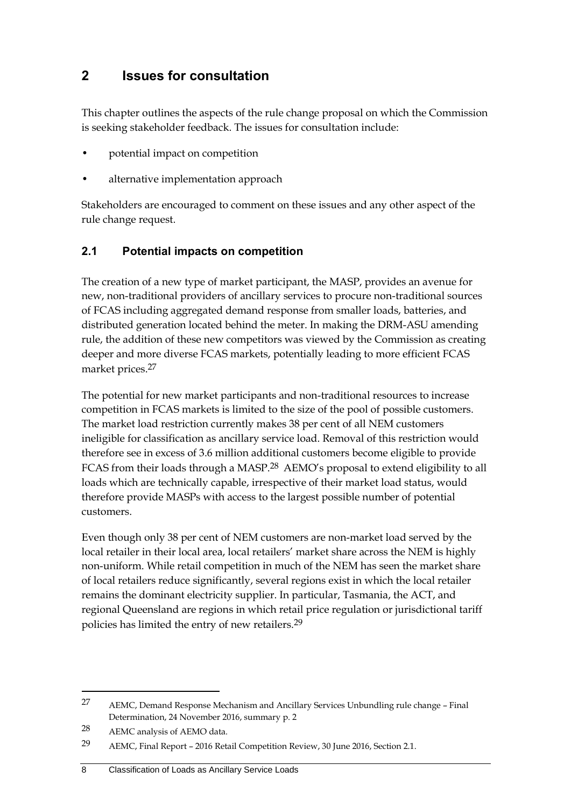### <span id="page-11-0"></span>**2 Issues for consultation**

This chapter outlines the aspects of the rule change proposal on which the Commission is seeking stakeholder feedback. The issues for consultation include:

- potential impact on competition
- alternative implementation approach

Stakeholders are encouraged to comment on these issues and any other aspect of the rule change request.

### <span id="page-11-1"></span>**2.1 Potential impacts on competition**

The creation of a new type of market participant, the MASP, provides an avenue for new, non-traditional providers of ancillary services to procure non-traditional sources of FCAS including aggregated demand response from smaller loads, batteries, and distributed generation located behind the meter. In making the DRM-ASU amending rule, the addition of these new competitors was viewed by the Commission as creating deeper and more diverse FCAS markets, potentially leading to more efficient FCAS market prices.27

The potential for new market participants and non-traditional resources to increase competition in FCAS markets is limited to the size of the pool of possible customers. The market load restriction currently makes 38 per cent of all NEM customers ineligible for classification as ancillary service load. Removal of this restriction would therefore see in excess of 3.6 million additional customers become eligible to provide FCAS from their loads through a MASP.<sup>28</sup> AEMO's proposal to extend eligibility to all loads which are technically capable, irrespective of their market load status, would therefore provide MASPs with access to the largest possible number of potential customers.

Even though only 38 per cent of NEM customers are non-market load served by the local retailer in their local area, local retailers' market share across the NEM is highly non-uniform. While retail competition in much of the NEM has seen the market share of local retailers reduce significantly, several regions exist in which the local retailer remains the dominant electricity supplier. In particular, Tasmania, the ACT, and regional Queensland are regions in which retail price regulation or jurisdictional tariff policies has limited the entry of new retailers.29

<sup>27</sup> AEMC, Demand Response Mechanism and Ancillary Services Unbundling rule change – Final Determination, 24 November 2016, summary p. 2

<sup>28</sup> AEMC analysis of AEMO data.

<sup>29</sup> AEMC, Final Report – 2016 Retail Competition Review, 30 June 2016, Section 2.1.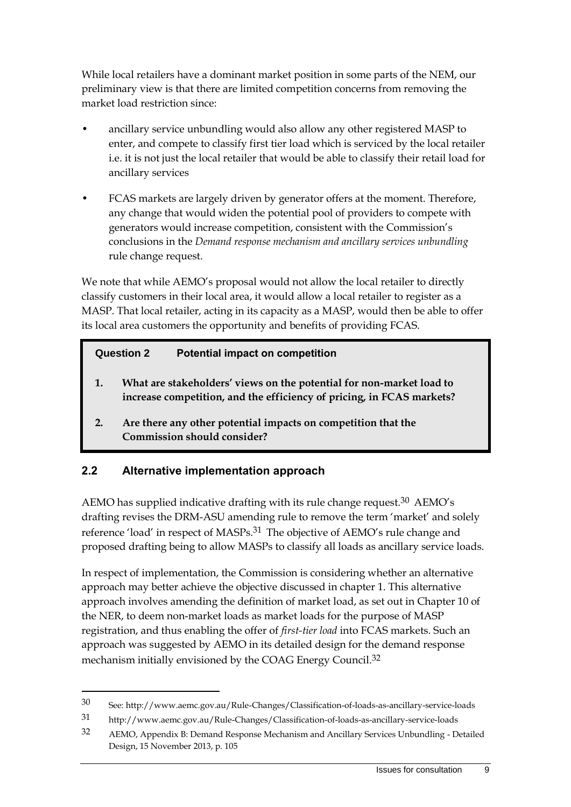While local retailers have a dominant market position in some parts of the NEM, our preliminary view is that there are limited competition concerns from removing the market load restriction since:

- ancillary service unbundling would also allow any other registered MASP to enter, and compete to classify first tier load which is serviced by the local retailer i.e. it is not just the local retailer that would be able to classify their retail load for ancillary services
- FCAS markets are largely driven by generator offers at the moment. Therefore, any change that would widen the potential pool of providers to compete with generators would increase competition, consistent with the Commission's conclusions in the *Demand response mechanism and ancillary services unbundling*  rule change request.

We note that while AEMO's proposal would not allow the local retailer to directly classify customers in their local area, it would allow a local retailer to register as a MASP. That local retailer, acting in its capacity as a MASP, would then be able to offer its local area customers the opportunity and benefits of providing FCAS.

### **Question 2 Potential impact on competition**

- **1. What are stakeholders' views on the potential for non-market load to increase competition, and the efficiency of pricing, in FCAS markets?**
- **2. Are there any other potential impacts on competition that the Commission should consider?**

### <span id="page-12-0"></span>**2.2 Alternative implementation approach**

<u>.</u>

AEMO has supplied indicative drafting with its rule change request.<sup>30</sup> AEMO's drafting revises the DRM-ASU amending rule to remove the term 'market' and solely reference 'load' in respect of MASPs.<sup>31</sup> The objective of AEMO's rule change and proposed drafting being to allow MASPs to classify all loads as ancillary service loads.

In respect of implementation, the Commission is considering whether an alternative approach may better achieve the objective discussed in chapter [1.](#page-4-0) This alternative approach involves amending the definition of market load, as set out in Chapter 10 of the NER, to deem non-market loads as market loads for the purpose of MASP registration, and thus enabling the offer of *first-tier load* into FCAS markets. Such an approach was suggested by AEMO in its detailed design for the demand response mechanism initially envisioned by the COAG Energy Council.<sup>32</sup>

<sup>30</sup> See: http://www.aemc.gov.au/Rule-Changes/Classification-of-loads-as-ancillary-service-loads

<sup>31</sup> http://www.aemc.gov.au/Rule-Changes/Classification-of-loads-as-ancillary-service-loads

<sup>32</sup> AEMO, Appendix B: Demand Response Mechanism and Ancillary Services Unbundling - Detailed Design, 15 November 2013, p. 105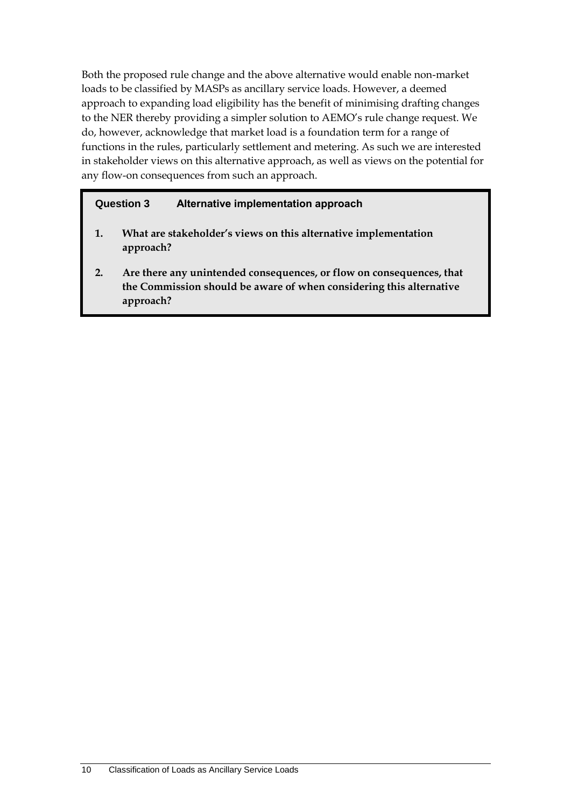Both the proposed rule change and the above alternative would enable non-market loads to be classified by MASPs as ancillary service loads. However, a deemed approach to expanding load eligibility has the benefit of minimising drafting changes to the NER thereby providing a simpler solution to AEMO's rule change request. We do, however, acknowledge that market load is a foundation term for a range of functions in the rules, particularly settlement and metering. As such we are interested in stakeholder views on this alternative approach, as well as views on the potential for any flow-on consequences from such an approach.

#### **Question 3 Alternative implementation approach**

- **1. What are stakeholder's views on this alternative implementation approach?**
- **2. Are there any unintended consequences, or flow on consequences, that the Commission should be aware of when considering this alternative approach?**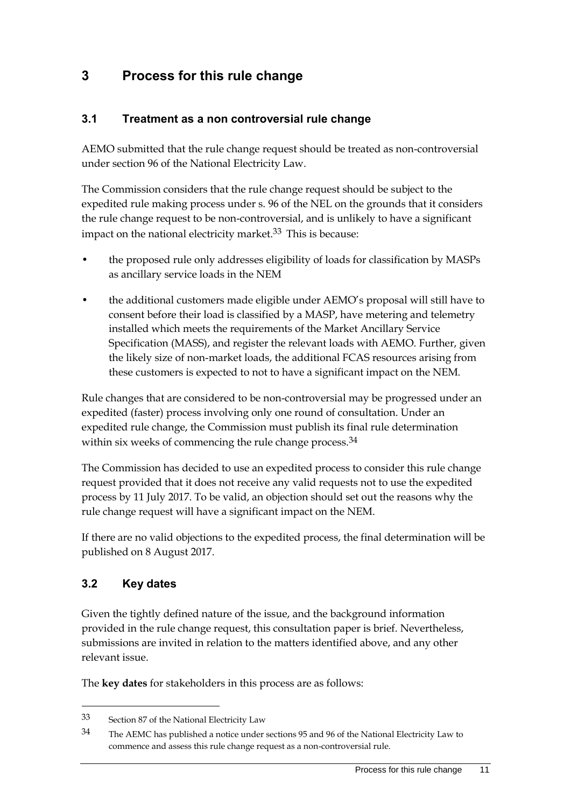### <span id="page-14-0"></span>**3 Process for this rule change**

### <span id="page-14-1"></span>**3.1 Treatment as a non controversial rule change**

AEMO submitted that the rule change request should be treated as non-controversial under section 96 of the National Electricity Law.

The Commission considers that the rule change request should be subject to the expedited rule making process under s. 96 of the NEL on the grounds that it considers the rule change request to be non-controversial, and is unlikely to have a significant impact on the national electricity market. $33$  This is because:

- the proposed rule only addresses eligibility of loads for classification by MASPs as ancillary service loads in the NEM
- the additional customers made eligible under AEMO's proposal will still have to consent before their load is classified by a MASP, have metering and telemetry installed which meets the requirements of the Market Ancillary Service Specification (MASS), and register the relevant loads with AEMO. Further, given the likely size of non-market loads, the additional FCAS resources arising from these customers is expected to not to have a significant impact on the NEM.

Rule changes that are considered to be non-controversial may be progressed under an expedited (faster) process involving only one round of consultation. Under an expedited rule change, the Commission must publish its final rule determination within six weeks of commencing the rule change process.<sup>34</sup>

The Commission has decided to use an expedited process to consider this rule change request provided that it does not receive any valid requests not to use the expedited process by 11 July 2017. To be valid, an objection should set out the reasons why the rule change request will have a significant impact on the NEM.

If there are no valid objections to the expedited process, the final determination will be published on 8 August 2017.

### <span id="page-14-2"></span>**3.2 Key dates**

<u>.</u>

Given the tightly defined nature of the issue, and the background information provided in the rule change request, this consultation paper is brief. Nevertheless, submissions are invited in relation to the matters identified above, and any other relevant issue.

The **key dates** for stakeholders in this process are as follows:

<sup>33</sup> Section 87 of the National Electricity Law

<sup>34</sup> The AEMC has published a notice under sections 95 and 96 of the National Electricity Law to commence and assess this rule change request as a non-controversial rule.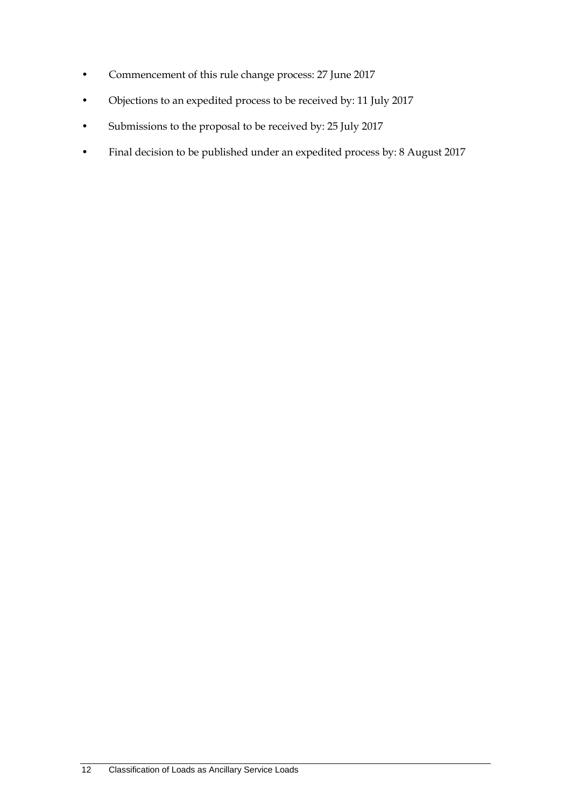- Commencement of this rule change process: 27 June 2017
- Objections to an expedited process to be received by: 11 July 2017
- Submissions to the proposal to be received by: 25 July 2017
- Final decision to be published under an expedited process by: 8 August 2017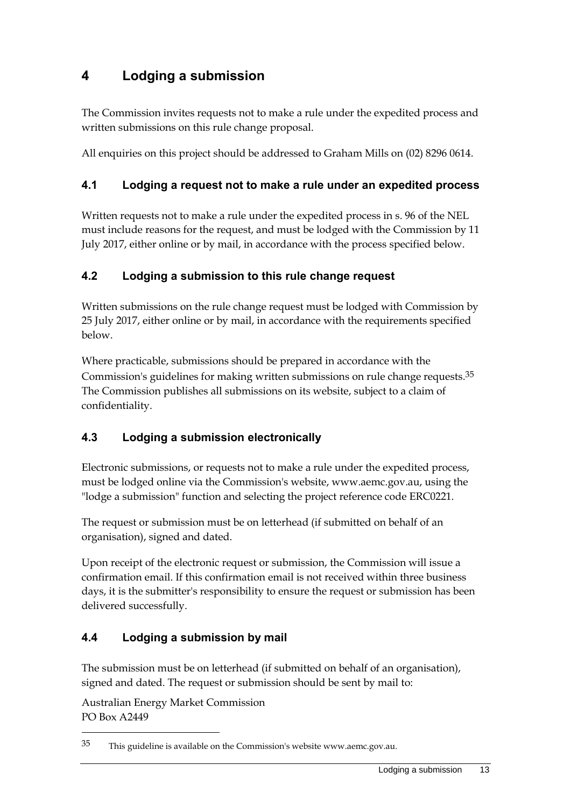# <span id="page-16-0"></span>**4 Lodging a submission**

The Commission invites requests not to make a rule under the expedited process and written submissions on this rule change proposal.

All enquiries on this project should be addressed to Graham Mills on (02) 8296 0614.

### <span id="page-16-1"></span>**4.1 Lodging a request not to make a rule under an expedited process**

Written requests not to make a rule under the expedited process in s. 96 of the NEL must include reasons for the request, and must be lodged with the Commission by 11 July 2017, either online or by mail, in accordance with the process specified below.

### <span id="page-16-2"></span>**4.2 Lodging a submission to this rule change request**

Written submissions on the rule change request must be lodged with Commission by 25 July 2017, either online or by mail, in accordance with the requirements specified below.

Where practicable, submissions should be prepared in accordance with the Commission's guidelines for making written submissions on rule change requests.<sup>35</sup> The Commission publishes all submissions on its website, subject to a claim of confidentiality.

### <span id="page-16-3"></span>**4.3 Lodging a submission electronically**

Electronic submissions, or requests not to make a rule under the expedited process, must be lodged online via the Commission's website, www.aemc.gov.au, using the "lodge a submission" function and selecting the project reference code ERC0221.

The request or submission must be on letterhead (if submitted on behalf of an organisation), signed and dated.

Upon receipt of the electronic request or submission, the Commission will issue a confirmation email. If this confirmation email is not received within three business days, it is the submitter's responsibility to ensure the request or submission has been delivered successfully.

### <span id="page-16-4"></span>**4.4 Lodging a submission by mail**

The submission must be on letterhead (if submitted on behalf of an organisation), signed and dated. The request or submission should be sent by mail to:

Australian Energy Market Commission PO Box A2449

1

<sup>35</sup> This guideline is available on the Commission's website www.aemc.gov.au.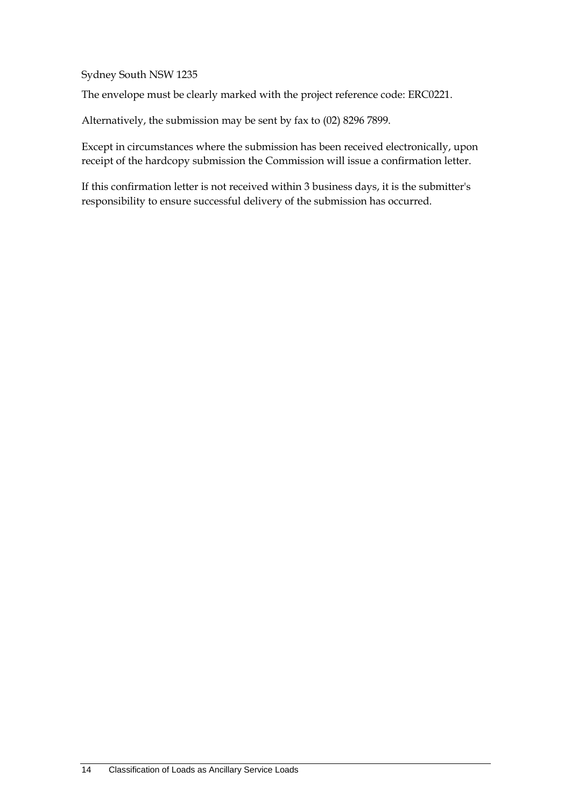Sydney South NSW 1235

The envelope must be clearly marked with the project reference code: ERC0221.

Alternatively, the submission may be sent by fax to (02) 8296 7899.

Except in circumstances where the submission has been received electronically, upon receipt of the hardcopy submission the Commission will issue a confirmation letter.

If this confirmation letter is not received within 3 business days, it is the submitter's responsibility to ensure successful delivery of the submission has occurred.